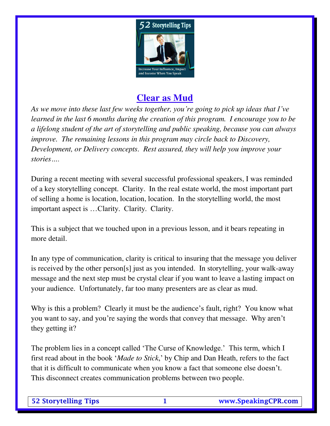

# **Clear as Mud**

*As we move into these last few weeks together, you're going to pick up ideas that I've learned in the last 6 months during the creation of this program. I encourage you to be a lifelong student of the art of storytelling and public speaking, because you can always improve. The remaining lessons in this program may circle back to Discovery, Development, or Delivery concepts. Rest assured, they will help you improve your stories….*

During a recent meeting with several successful professional speakers, I was reminded of a key storytelling concept. Clarity. In the real estate world, the most important part of selling a home is location, location, location. In the storytelling world, the most important aspect is …Clarity. Clarity. Clarity.

This is a subject that we touched upon in a previous lesson, and it bears repeating in more detail.

In any type of communication, clarity is critical to insuring that the message you deliver is received by the other person[s] just as you intended. In storytelling, your walk-away message and the next step must be crystal clear if you want to leave a lasting impact on your audience. Unfortunately, far too many presenters are as clear as mud.

Why is this a problem? Clearly it must be the audience's fault, right? You know what you want to say, and you're saying the words that convey that message. Why aren't they getting it?

The problem lies in a concept called 'The Curse of Knowledge.' This term, which I first read about in the book '*Made to Stick*,' by Chip and Dan Heath, refers to the fact that it is difficult to communicate when you know a fact that someone else doesn't. This disconnect creates communication problems between two people.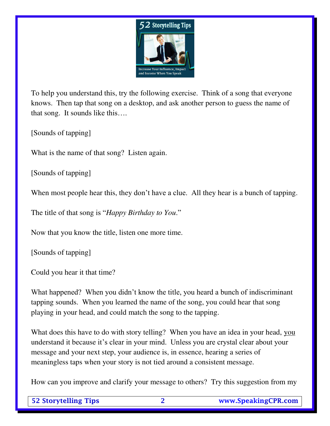

To help you understand this, try the following exercise. Think of a song that everyone knows. Then tap that song on a desktop, and ask another person to guess the name of that song. It sounds like this….

[Sounds of tapping]

What is the name of that song? Listen again.

[Sounds of tapping]

When most people hear this, they don't have a clue. All they hear is a bunch of tapping.

The title of that song is "*Happy Birthday to You*."

Now that you know the title, listen one more time.

[Sounds of tapping]

Could you hear it that time?

What happened? When you didn't know the title, you heard a bunch of indiscriminant tapping sounds. When you learned the name of the song, you could hear that song playing in your head, and could match the song to the tapping.

What does this have to do with story telling? When you have an idea in your head, you understand it because it's clear in your mind. Unless you are crystal clear about your message and your next step, your audience is, in essence, hearing a series of meaningless taps when your story is not tied around a consistent message.

How can you improve and clarify your message to others? Try this suggestion from my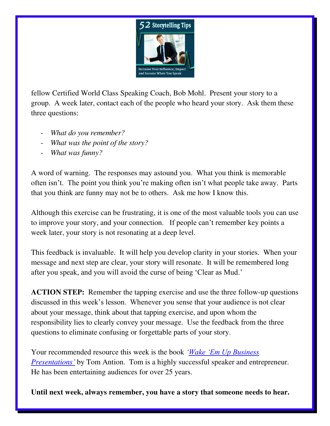

fellow Certified World Class Speaking Coach, Bob Mohl. Present your story to a group. A week later, contact each of the people who heard your story. Ask them these three questions:

- *What do you remember?*
- *What was the point of the story?*
- *What was funny?*

A word of warning. The responses may astound you. What you think is memorable often isn't. The point you think you're making often isn't what people take away. Parts that you think are funny may not be to others. Ask me how I know this.

Although this exercise can be frustrating, it is one of the most valuable tools you can use to improve your story, and your connection. If people can't remember key points a week later, your story is not resonating at a deep level.

This feedback is invaluable. It will help you develop clarity in your stories. When your message and next step are clear, your story will resonate. It will be remembered long after you speak, and you will avoid the curse of being 'Clear as Mud.'

**ACTION STEP:** Remember the tapping exercise and use the three follow-up questions discussed in this week's lesson. Whenever you sense that your audience is not clear about your message, think about that tapping exercise, and upon whom the responsibility lies to clearly convey your message. Use the feedback from the three questions to eliminate confusing or forgettable parts of your story.

Your recommended resource this week is the book *['Wake 'Em Up Business](http://www.amazon.com/Wake-Professional-Techniques-Alarmingly-Presentations/dp/0926395122/ref=sr_1_2?s=books&ie=UTF8&qid=1379616535&sr=1-2&keywords=wake+em+up+business+presentations)  [Presentations](http://www.amazon.com/Wake-Professional-Techniques-Alarmingly-Presentations/dp/0926395122/ref=sr_1_2?s=books&ie=UTF8&qid=1379616535&sr=1-2&keywords=wake+em+up+business+presentations)'* by Tom Antion. Tom is a highly successful speaker and entrepreneur. He has been entertaining audiences for over 25 years.

**Until next week, always remember, you have a story that someone needs to hear.**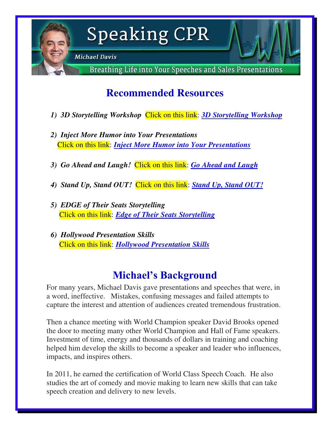

# **Speaking CPR**

**Michael Davis** 

Breathing Life into Your Speeches and Sales Presentations

# **Recommended Resources**

- *1) 3D Storytelling Workshop* Click on this link: *[3D Storytelling Workshop](http://speakingcpr.com/3d-storytelling/)*
- *2) [Inject More Humor into Your Presentations](http://66.147.244.184/~speakir5/online-store/inject-more-humor-into-your-presentations/)* Click on this link: *[Inject More Humor into Your Presentations](http://speakingcpr.com/online-store/inject-more-humor-into-your-presentations/)*
- *3) Go Ahead and Laugh!* Click on this link: *[Go Ahead and Laugh](http://speakingcpr.com/online-store/go-ahead-and-laugh/)*
- *4) Stand Up, Stand OUT!* Click on this link: *[Stand Up, Stand OUT!](http://speakingcpr.com/online-store/stand-up-stand-out-audio/)*
- *5) EDGE of Their Seats Storytelling* Click on this link: *[Edge of Their Seats Storytelling](http://bit.ly/Zs02k9)*
- *6) Hollywood Presentation Skills* Click on this link: *[Hollywood Presentation Skills](http://www.fripp.com/store/public-speaking/hollywood-special/)*

# **Michael's Background**

For many years, Michael Davis gave presentations and speeches that were, in a word, ineffective. Mistakes, confusing messages and failed attempts to capture the interest and attention of audiences created tremendous frustration.

Then a chance meeting with World Champion speaker David Brooks opened the door to meeting many other World Champion and Hall of Fame speakers. Investment of time, energy and thousands of dollars in training and coaching helped him develop the skills to become a speaker and leader who influences, impacts, and inspires others.

In 2011, he earned the certification of World Class Speech Coach. He also studies the art of comedy and movie making to learn new skills that can take speech creation and delivery to new levels.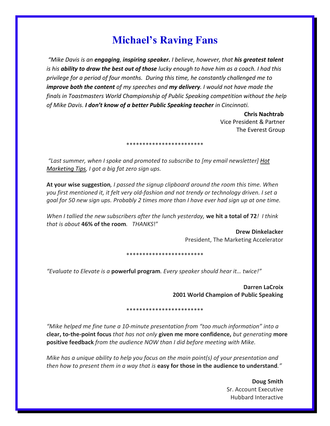## **Michael's Raving Fans**

*͞Mike Daǀis is aŶ engaging, inspiring speaker. I believe, however, that his greatest talent is his ability to draw the best out of those lucky enough to have him as a coach. I had this privilege for a period of four months. During this time, he constantly challenged me to improve both the content of my speeches and my delivery. I would not have made the finals in Toastmasters World Championship of Public Speaking competition without the help of Mike Davis. I don't know of a better Public Speaking teacher in Cincinnati.* 

> **Chris Nachtrab**  Vice President & Partner The Everest Group

### *͞Last summer, when I spoke and promoted to subscribe to [my email newsletter] [Hot](http://www.marketingaccelerator.com/) [Marketing Tips,](http://www.marketingaccelerator.com/) I got a big fat zero sign ups.*

**At your wise suggestion***, I passed the signup clipboard around the room this time. When you first mentioned it, it felt very old-fashion and not trendy or technology driven. I set a goal for 50 new sign ups. Probably 2 times more than I have ever had sign up at one time.* 

\*\*\*\*\*\*\*\*\*\*\*\*\*\*\*\*\*\*\*\*\*\*

*When I tallied the new subscribers after the lunch yesterday,* **we hit a total of 72***! I think that is about* **46% of the room***. THANKS*!"

> **Drew Dinkelacker** President, The Marketing Accelerator

\*\*\*\*\*\*\*\*\*\*\*\*\*\*\*\*\*\*\*\*\*\*\*\*

*͞Eǀaluate to Eleǀate is a* **powerful program***. Eǀery speaker should hear it… tǁice!͟*

**Darren LaCroix 2001 World Champion of Public Speaking** 

\*\*\*\*\*\*\*\*\*\*\*\*\*\*\*\*\*\*\*\*\*\*\*\*

*"Mike helped me fine tune a 10-minute presentation from "too much information" into a* **clear, to-the-point focus** *that has not only* **given me more confidence,** *but generating* **more positive feedback** *from the audience NOW than I did before meeting with Mike.* 

*Mike has a unique ability to help you focus on the main point(s) of your presentation and then how to present them in a way that is* **easy for those in the audience to understand***.͟*

> **Doug Smith** Sr. Account Executive Hubbard Interactive